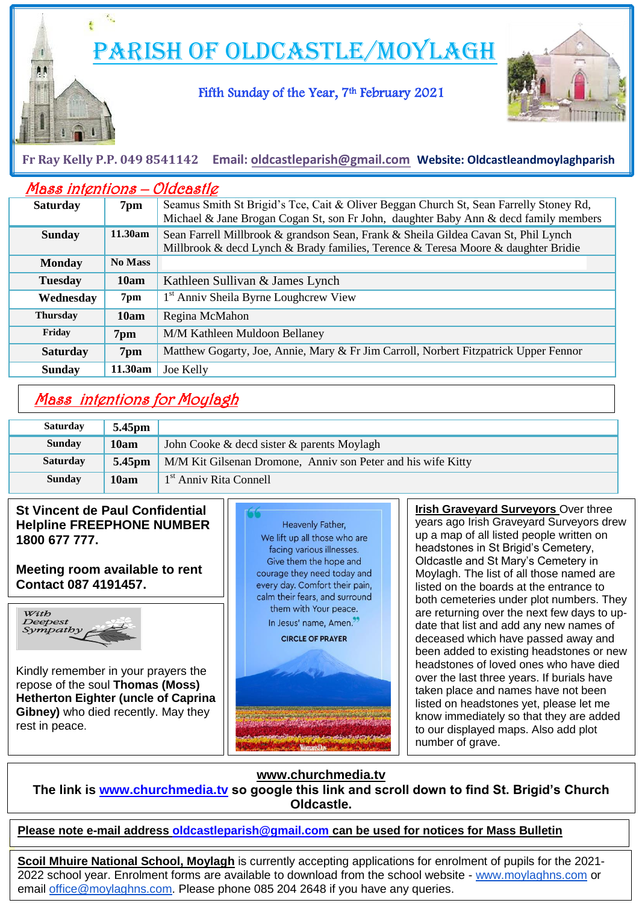Parish of Oldcastle/Moylagh

### Fifth Sunday of the Year, 7<sup>th</sup> February 2021



### **Fr Ray Kelly P.P. 049 8541142 Email: [oldcastleparish@gmail.com](mailto:oldcastleparish@gmail.com) Website: Oldcastleandmoylaghparish**

| <b>Mass intentions - Oldcastle</b> |                |                                                                                        |  |
|------------------------------------|----------------|----------------------------------------------------------------------------------------|--|
| <b>Saturday</b>                    | 7pm            | Seamus Smith St Brigid's Tce, Cait & Oliver Beggan Church St, Sean Farrelly Stoney Rd, |  |
|                                    |                | Michael & Jane Brogan Cogan St, son Fr John, daughter Baby Ann & decd family members   |  |
| <b>Sunday</b>                      | 11.30am        | Sean Farrell Millbrook & grandson Sean, Frank & Sheila Gildea Cavan St, Phil Lynch     |  |
|                                    |                | Millbrook & decd Lynch & Brady families, Terence & Teresa Moore & daughter Bridie      |  |
| <b>Monday</b>                      | <b>No Mass</b> |                                                                                        |  |
| <b>Tuesday</b>                     | 10am           | Kathleen Sullivan & James Lynch                                                        |  |
| Wednesday                          | 7pm            | 1 <sup>st</sup> Anniv Sheila Byrne Loughcrew View                                      |  |
| <b>Thursday</b>                    | 10am           | Regina McMahon                                                                         |  |
| Friday                             | 7pm            | M/M Kathleen Muldoon Bellaney                                                          |  |
| <b>Saturday</b>                    | 7pm            | Matthew Gogarty, Joe, Annie, Mary & Fr Jim Carroll, Norbert Fitzpatrick Upper Fennor   |  |
| <b>Sunday</b>                      | 11.30am        | Joe Kelly                                                                              |  |

# Mass intentions for Moylagh

| <b>Saturday</b> | 5.45pm             |                                                              |
|-----------------|--------------------|--------------------------------------------------------------|
| <b>Sunday</b>   | 10am               | John Cooke & decd sister & parents Moylagh                   |
| <b>Saturday</b> | 5.45 <sub>pm</sub> | M/M Kit Gilsenan Dromone, Anniv son Peter and his wife Kitty |
| <b>Sunday</b>   | 10am               | 1 <sup>st</sup> Anniy Rita Connell                           |

#### **St Vincent de Paul Confidential Helpline FREEPHONE NUMBER 1800 677 777.**

#### **Meeting room available to rent Contact 087 4191457.**



i i L

.

Kindly remember in your prayers the repose of the soul **Thomas (Moss) Hetherton Eighter (uncle of Caprina Gibney)** who died recently. May they rest in peace.



 been added to existing headstones or new **Irish Graveyard Surveyors** Over three years ago Irish Graveyard Surveyors drew up a map of all listed people written on headstones in St Brigid's Cemetery, Oldcastle and St Mary's Cemetery in Moylagh. The list of all those named are listed on the boards at the entrance to both cemeteries under plot numbers. They are returning over the next few days to update that list and add any new names of deceased which have passed away and headstones of loved ones who have died over the last three years. If burials have taken place and names have not been listed on headstones yet, please let me know immediately so that they are added to our displayed maps. Also add plot number of grave.

### **www.churchmedia.tv**

**The link is [www.churchmedia.tv](http://www.churchmedia.tv/) so google this link and scroll down to find St. Brigid's Church Oldcastle.**

### **Please note e-mail address [oldcastleparish@gmail.com](mailto:oldcastleparish@gmail.com) can be used for notices for Mass Bulletin**

**Scoil Mhuire National School, Moylagh** is currently accepting applications for enrolment of pupils for the 2021- 2022 school year. Enrolment forms are available to download from the school website - [www.moylaghns.com](http://www.moylaghns.com/) or email [office@moylaghns.com.](mailto:office@moylaghns.com) Please phone 085 204 2648 if you have any queries.